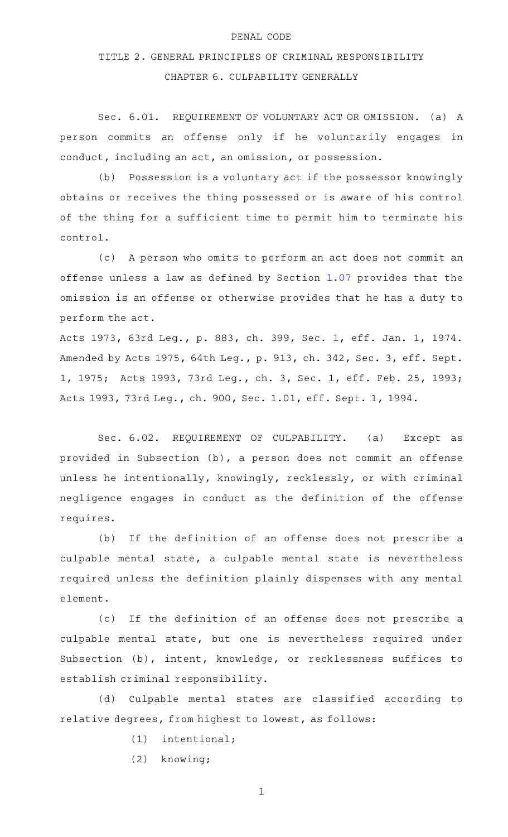## PENAL CODE

## TITLE 2. GENERAL PRINCIPLES OF CRIMINAL RESPONSIBILITY

## CHAPTER 6. CULPABILITY GENERALLY

Sec. 6.01. REQUIREMENT OF VOLUNTARY ACT OR OMISSION. (a) A person commits an offense only if he voluntarily engages in conduct, including an act, an omission, or possession.

(b) Possession is a voluntary act if the possessor knowingly obtains or receives the thing possessed or is aware of his control of the thing for a sufficient time to permit him to terminate his control.

(c) A person who omits to perform an act does not commit an offense unless a law as defined by Section [1.07](http://www.statutes.legis.state.tx.us/GetStatute.aspx?Code=PE&Value=1.07) provides that the omission is an offense or otherwise provides that he has a duty to perform the act.

Acts 1973, 63rd Leg., p. 883, ch. 399, Sec. 1, eff. Jan. 1, 1974. Amended by Acts 1975, 64th Leg., p. 913, ch. 342, Sec. 3, eff. Sept. 1, 1975; Acts 1993, 73rd Leg., ch. 3, Sec. 1, eff. Feb. 25, 1993; Acts 1993, 73rd Leg., ch. 900, Sec. 1.01, eff. Sept. 1, 1994.

Sec. 6.02. REQUIREMENT OF CULPABILITY. (a) Except as provided in Subsection (b), a person does not commit an offense unless he intentionally, knowingly, recklessly, or with criminal negligence engages in conduct as the definition of the offense requires.

(b) If the definition of an offense does not prescribe a culpable mental state, a culpable mental state is nevertheless required unless the definition plainly dispenses with any mental element.

(c) If the definition of an offense does not prescribe a culpable mental state, but one is nevertheless required under Subsection (b), intent, knowledge, or recklessness suffices to establish criminal responsibility.

(d) Culpable mental states are classified according to relative degrees, from highest to lowest, as follows:

- $(1)$  intentional;
- (2) knowing;

1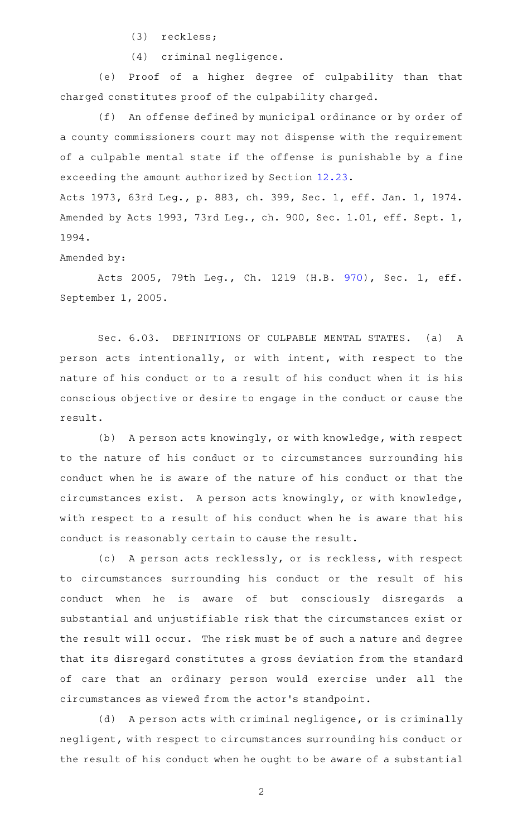(3) reckless;

(4) criminal negligence.

(e) Proof of a higher degree of culpability than that charged constitutes proof of the culpability charged.

(f) An offense defined by municipal ordinance or by order of a county commissioners court may not dispense with the requirement of a culpable mental state if the offense is punishable by a fine exceeding the amount authorized by Section [12.23](http://www.statutes.legis.state.tx.us/GetStatute.aspx?Code=PE&Value=12.23).

Acts 1973, 63rd Leg., p. 883, ch. 399, Sec. 1, eff. Jan. 1, 1974. Amended by Acts 1993, 73rd Leg., ch. 900, Sec. 1.01, eff. Sept. 1, 1994.

Amended by:

Acts 2005, 79th Leg., Ch. 1219 (H.B. [970](http://www.legis.state.tx.us/tlodocs/79R/billtext/html/HB00970F.HTM)), Sec. 1, eff. September 1, 2005.

Sec. 6.03. DEFINITIONS OF CULPABLE MENTAL STATES. (a) A person acts intentionally, or with intent, with respect to the nature of his conduct or to a result of his conduct when it is his conscious objective or desire to engage in the conduct or cause the result.

(b) A person acts knowingly, or with knowledge, with respect to the nature of his conduct or to circumstances surrounding his conduct when he is aware of the nature of his conduct or that the circumstances exist. A person acts knowingly, or with knowledge, with respect to a result of his conduct when he is aware that his conduct is reasonably certain to cause the result.

(c) A person acts recklessly, or is reckless, with respect to circumstances surrounding his conduct or the result of his conduct when he is aware of but consciously disregards a substantial and unjustifiable risk that the circumstances exist or the result will occur. The risk must be of such a nature and degree that its disregard constitutes a gross deviation from the standard of care that an ordinary person would exercise under all the circumstances as viewed from the actor 's standpoint.

(d) A person acts with criminal negligence, or is criminally negligent, with respect to circumstances surrounding his conduct or the result of his conduct when he ought to be aware of a substantial

2